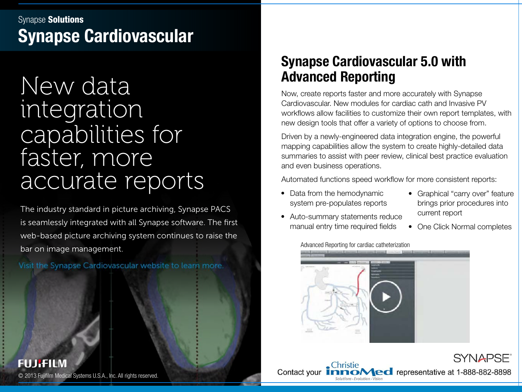### Synapse Cardiovascular Synapse Solutions

# New data integration capabilities for faster, more accurate reports

The industry standard in picture archiving, Synapse PACS is seamlessly integrated with all Synapse software. The first web-based picture archiving system continues to raise the bar on image management.

Visit the Synapse Cardiovascular website to learn more.

**FUJIFILM** 

### Synapse Cardiovascular 5.0 with Advanced Reporting

Now, create reports faster and more accurately with Synapse Cardiovascular. New modules for cardiac cath and Invasive PV workflows allow facilities to customize their own report templates, with new design tools that offer a variety of options to choose from.

Driven by a newly-engineered data integration engine, the powerful mapping capabilities allow the system to create highly-detailed data summaries to assist with peer review, clinical best practice evaluation and even business operations.

Automated functions speed workflow for more consistent reports:

- Data from the hemodynamic system pre-populates reports
- Auto-summary statements reduce manual entry time required fields

Christie

Advanced Reporting for cardiac catheterization

- Graphical "carry over" feature brings prior procedures into current report
- One Click Normal completes



Contact your **ImmoMedical Systems U.S.A., Inc. All rights reserved.** Contact your **ImmoMedial Test representative at 1-888-882-8898**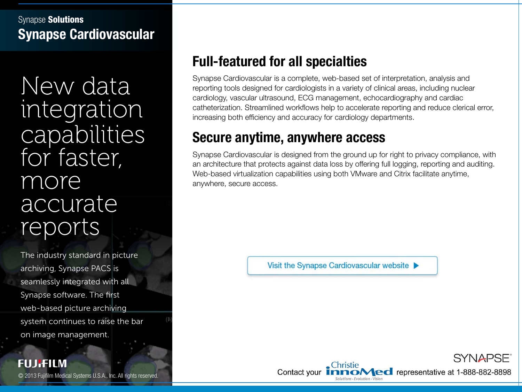#### Synapse Cardiovascular Synapse **Solutions**

New data integration capabilities for faster, more accurate reports

The industry standard in picture archiving, Synapse PACS is seamlessly integrated with all Synapse software. The first web-based picture archiving system continues to raise the bar on image management.

# Full-featured for all specialties

Synapse Cardiovascular is a complete, web-based set of interpretation, analysis and reporting tools designed for cardiologists in a variety of clinical areas, including nuclear cardiology, vascular ultrasound, ECG management, echocardiography and cardiac catheterization. Streamlined workflows help to accelerate reporting and reduce clerical error, increasing both efficiency and accuracy for cardiology departments.

# Secure anytime, anywhere access

Synapse Cardiovascular is designed from the ground up for right to privacy compliance, with an architecture that protects against data loss by offering full logging, reporting and auditing. Web-based virtualization capabilities using both VMware and Citrix facilitate anytime, anywhere, secure access.

Visit the Synapse Cardiovascular website  $\blacktriangleright$ 

SYNAPSE<sup>®</sup> © 2013 Fujifilm Medical Systems U.S.A., Inc. All rights reserved. Contact your Fund Medical Systems U.S.A., Inc. All rights reserved.

**FUJIFILM**